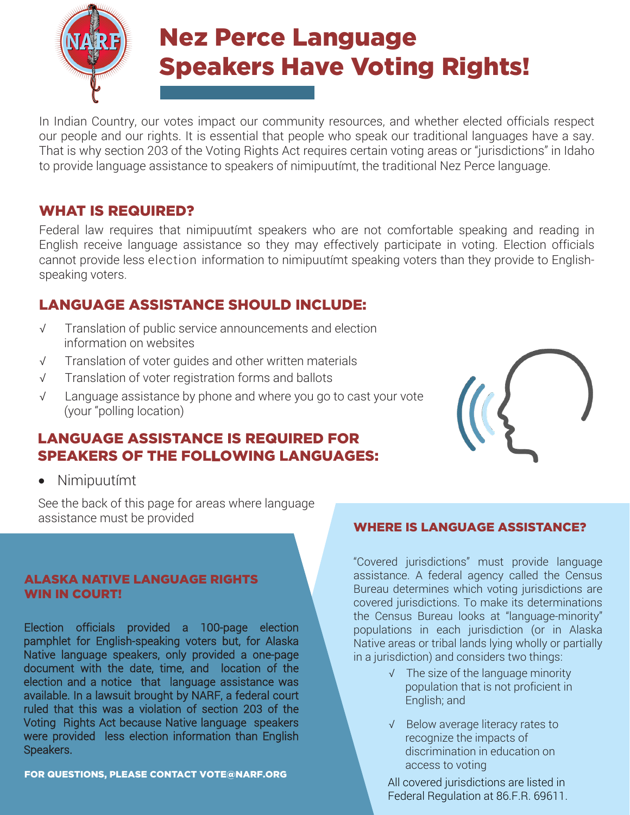Nez Perce Language Speakers Have Voting Rights!

In Indian Country, our votes impact our community resources, and whether elected officials respect our people and our rights. It is essential that people who speak our traditional languages have a say. That is why section 203 of the Voting Rights Act requires certain voting areas or "jurisdictions" in Idaho to provide language assistance to speakers of nimipuutímt, the traditional Nez Perce language.

# WHAT IS REQUIRED?

Federal law requires that nimipuutímt speakers who are not comfortable speaking and reading in English receive language assistance so they may effectively participate in voting. Election officials cannot provide less election information to nimipuutímt speaking voters than they provide to Englishspeaking voters.

### LANGUAGE ASSISTANCE SHOULD INCLUDE:

- √ Translation of public service announcements and election information on websites
- √ Translation of voter guides and other written materials
- √ Translation of voter registration forms and ballots
- √ Language assistance by phone and where you go to cast your vote (your "polling location)

### LANGUAGE ASSISTANCE IS REQUIRED FOR SPEAKERS OF THE FOLLOWING LANGUAGES:

• Nimipuutímt

See the back of this page for areas where language assistance must be provided

#### ALASKA NATIVE LANGUAGE RIGHTS WIN IN COURT!

Election officials provided a 100-page election pamphlet for English-speaking voters but, for Alaska Native language speakers, only provided a one-page document with the date, time, and location of the election and a notice that language assistance was available. In a lawsuit brought by NARF, a federal court ruled that this was a violation of section 203 of the Voting Rights Act because Native language speakers were provided less election information than English Speakers.

FOR QUESTIONS, PLEASE CONTACT VOTE@NARF.ORG

### WHERE IS LANGUAGE ASSISTANCE?

"Covered jurisdictions" must provide language assistance. A federal agency called the Census Bureau determines which voting jurisdictions are covered jurisdictions. To make its determinations the Census Bureau looks at "language-minority" populations in each jurisdiction (or in Alaska Native areas or tribal lands lying wholly or partially in a jurisdiction) and considers two things:

- √ The size of the language minority population that is not proficient in English; and
- √ Below average literacy rates to recognize the impacts of discrimination in education on access to voting

All covered jurisdictions are listed in Federal Regulation at 86.F.R. 69611.